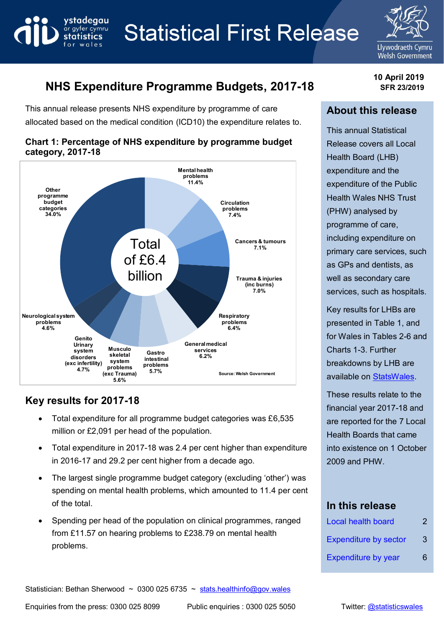

# **Statistical First Release**



**10 April 2019 SFR 23/2019**

# **NHS Expenditure Programme Budgets, 2017-18**

This annual release presents NHS expenditure by programme of care allocated based on the medical condition (ICD10) the expenditure relates to.



#### **Chart 1: Percentage of NHS expenditure by programme budget category, 2017-18**

## **Key results for 2017-18**

- Total expenditure for all programme budget categories was £6,535 million or £2,091 per head of the population.
- Total expenditure in 2017-18 was 2.4 per cent higher than expenditure in 2016-17 and 29.2 per cent higher from a decade ago.
- The largest single programme budget category (excluding 'other') was spending on mental health problems, which amounted to 11.4 per cent of the total.
- Spending per head of the population on clinical programmes, ranged from £11.57 on hearing problems to £238.79 on mental health problems.

# **About this release**

This annual Statistical Release covers all Local Health Board (LHB) expenditure and the expenditure of the Public Health Wales NHS Trust (PHW) analysed by programme of care, including expenditure on primary care services, such as GPs and dentists, as well as secondary care services, such as hospitals.

Key results for LHBs are presented in Table 1, and for Wales in Tables 2-6 and Charts 1-3. Further breakdowns by LHB are available o[n StatsWales.](https://statswales.gov.wales/Catalogue/Health-and-Social-Care/Health-Finance/NHS-Programme-Budget)

These results relate to the financial year 2017-18 and are reported for the 7 Local Health Boards that came into existence on 1 October 2009 and PHW.

## **In this release**

| <b>Local health board</b>    | 2  |
|------------------------------|----|
| <b>Expenditure by sector</b> | 3  |
| <b>Expenditure by year</b>   | 6. |

Statistician: Bethan Sherwood ~ 0300 025 6735 ~ [stats.healthinfo@gov.wales](mailto:stats.healthinfo@gov.wales)

Enquiries from the press: 0300 025 8099 Public enquiries : 0300 025 5050 Twitter: [@statisticswales](http://www.twitter.com/statisticswales)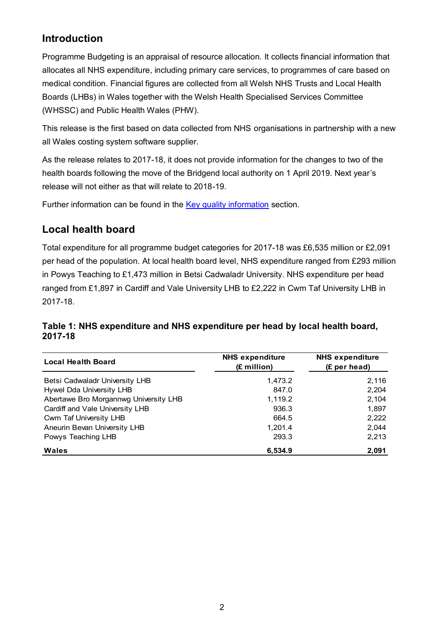## **Introduction**

Programme Budgeting is an appraisal of resource allocation. It collects financial information that allocates all NHS expenditure, including primary care services, to programmes of care based on medical condition. Financial figures are collected from all Welsh NHS Trusts and Local Health Boards (LHBs) in Wales together with the Welsh Health Specialised Services Committee (WHSSC) and Public Health Wales (PHW).

This release is the first based on data collected from NHS organisations in partnership with a new all Wales costing system software supplier.

As the release relates to 2017-18, it does not provide information for the changes to two of the health boards following the move of the Bridgend local authority on 1 April 2019. Next year's release will not either as that will relate to 2018-19.

Further information can be found in the [Key quality information](#page-8-0) section.

## <span id="page-1-0"></span>**Local health board**

Total expenditure for all programme budget categories for 2017-18 was £6,535 million or £2,091 per head of the population. At local health board level, NHS expenditure ranged from £293 million in Powys Teaching to £1,473 million in Betsi Cadwaladr University. NHS expenditure per head ranged from £1,897 in Cardiff and Vale University LHB to £2,222 in Cwm Taf University LHB in 2017-18.

## **Table 1: NHS expenditure and NHS expenditure per head by local health board, 2017-18**

| <b>Local Health Board</b>             | <b>NHS expenditure</b><br>(£ million) | <b>NHS expenditure</b><br>(£ per head) |  |  |
|---------------------------------------|---------------------------------------|----------------------------------------|--|--|
| Betsi Cadwaladr University LHB        | 1,473.2                               | 2,116                                  |  |  |
| Hywel Dda University LHB              | 847.0                                 | 2,204                                  |  |  |
| Abertawe Bro Morgannwg University LHB | 1,119.2                               | 2,104                                  |  |  |
| Cardiff and Vale University LHB       | 936.3                                 | 1,897                                  |  |  |
| Cwm Taf University LHB                | 664.5                                 | 2,222                                  |  |  |
| Aneurin Bevan University LHB          | 1,201.4                               | 2,044                                  |  |  |
| Powys Teaching LHB                    | 293.3                                 | 2,213                                  |  |  |
| <b>Wales</b>                          | 6,534.9                               | 2,091                                  |  |  |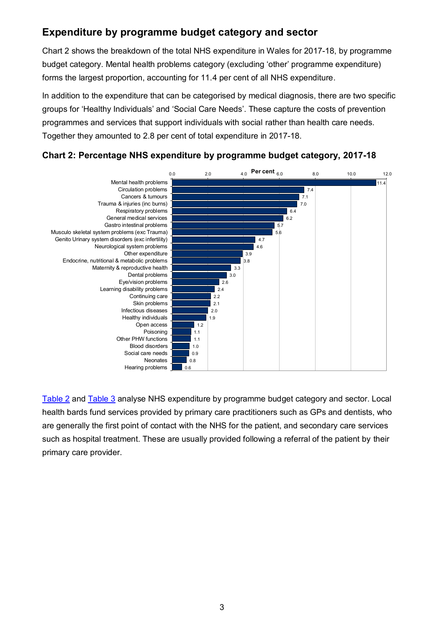## <span id="page-2-0"></span>**Expenditure by programme budget category and sector**

Chart 2 shows the breakdown of the total NHS expenditure in Wales for 2017-18, by programme budget category. Mental health problems category (excluding 'other' programme expenditure) forms the largest proportion, accounting for 11.4 per cent of all NHS expenditure.

In addition to the expenditure that can be categorised by medical diagnosis, there are two specific groups for 'Healthy Individuals' and 'Social Care Needs'. These capture the costs of prevention programmes and services that support individuals with social rather than health care needs. Together they amounted to 2.8 per cent of total expenditure in 2017-18.

## **Chart 2: Percentage NHS expenditure by programme budget category, 2017-18**



[Table 2](#page-3-0) and [Table 3](#page-4-0) analyse NHS expenditure by programme budget category and sector. Local health bards fund services provided by primary care practitioners such as GPs and dentists, who are generally the first point of contact with the NHS for the patient, and secondary care services such as hospital treatment. These are usually provided following a referral of the patient by their primary care provider.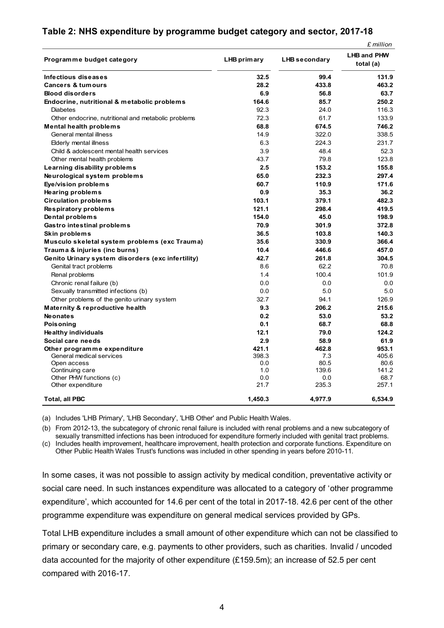#### <span id="page-3-0"></span>**Table 2: NHS expenditure by programme budget category and sector, 2017-18**

*£ million*

| Programme budget category                           | LHB primary | <b>LHB</b> secondary | ווטווווודו ב<br><b>LHB and PHW</b><br>total (a) |
|-----------------------------------------------------|-------------|----------------------|-------------------------------------------------|
|                                                     |             |                      |                                                 |
| Infectious diseases                                 | 32.5        | 99.4                 | 131.9                                           |
| <b>Cancers &amp; tumours</b>                        | 28.2        | 433.8                | 463.2                                           |
| <b>Blood disorders</b>                              | 6.9         | 56.8                 | 63.7                                            |
| Endocrine, nutritional & metabolic problems         | 164.6       | 85.7                 | 250.2                                           |
| <b>Diabetes</b>                                     | 92.3        | 24.0                 | 116.3                                           |
| Other endocrine, nutritional and metabolic problems | 72.3        | 61.7                 | 133.9                                           |
| <b>Mental health problems</b>                       | 68.8        | 674.5                | 746.2                                           |
| General mental illness                              | 14.9        | 322.0                | 338.5                                           |
| Elderly mental illness                              | 6.3         | 224.3                | 231.7                                           |
| Child & adolescent mental health services           | 3.9         | 48.4                 | 52.3                                            |
| Other mental health problems                        | 43.7        | 79.8                 | 123.8                                           |
| Learning disability problems                        | 2.5         | 153.2                | 155.8                                           |
| Neurological system problems                        | 65.0        | 232.3                | 297.4                                           |
| Eye/vision problems                                 | 60.7        | 110.9                | 171.6                                           |
| Hearing problems                                    | 0.9         | 35.3                 | 36.2                                            |
| <b>Circulation problems</b>                         | 103.1       | 379.1                | 482.3                                           |
| Respiratory problems                                | 121.1       | 298.4                | 419.5                                           |
| Dental problems                                     | 154.0       | 45.0                 | 198.9                                           |
| <b>Gastro intestinal problems</b>                   | 70.9        | 301.9                | 372.8                                           |
| Skin problems                                       | 36.5        | 103.8                | 140.3                                           |
| Musculo skeletal system problems (exc Trauma)       | 35.6        | 330.9                | 366.4                                           |
| Trauma & injuries (inc burns)                       | 10.4        | 446.6                | 457.0                                           |
| Genito Urinary system disorders (exc infertility)   | 42.7        | 261.8                | 304.5                                           |
| Genital tract problems                              | 8.6         | 62.2                 | 70.8                                            |
| Renal problems                                      | 1.4         | 100.4                | 101.9                                           |
| Chronic renal failure (b)                           | 0.0         | 0.0                  | 0.0                                             |
| Sexually transmitted infections (b)                 | 0.0         | 5.0                  | 5.0                                             |
| Other problems of the genito urinary system         | 32.7        | 94.1                 | 126.9                                           |
| <b>Maternity &amp; reproductive health</b>          | 9.3         | 206.2                | 215.6                                           |
| <b>Neonates</b>                                     | 0.2         | 53.0                 | 53.2                                            |
| <b>Poisoning</b>                                    | 0.1         | 68.7                 | 68.8                                            |
| <b>Healthy individuals</b>                          | 12.1        | 79.0                 | 124.2                                           |
| Social care needs                                   | 2.9         | 58.9                 | 61.9                                            |
| Other programme expenditure                         | 421.1       | 462.8                | 953.1                                           |
| General medical services                            | 398.3       | 7.3                  | 405.6                                           |
| Open access                                         | 0.0         | 80.5                 | 80.6                                            |
| Continuing care                                     | 1.0         | 139.6                | 141.2                                           |
| Other PHW functions (c)                             | 0.0         | 0.0                  | 68.7                                            |
| Other expenditure                                   | 21.7        | 235.3                | 257.1                                           |
| <b>Total, all PBC</b>                               | 1,450.3     | 4,977.9              | 6,534.9                                         |

(a) Includes 'LHB Primary', 'LHB Secondary', 'LHB Other' and Public Health Wales.

(b) From 2012-13, the subcategory of chronic renal failure is included with renal problems and a new subcategory of sexually transmitted infections has been introduced for expenditure formerly included with genital tract problems. (c) Includes health improvement, healthcare improvement, health protection and corporate functions. Expenditure on

Other Public Health Wales Trust's functions was included in other spending in years before 2010-11.

In some cases, it was not possible to assign activity by medical condition, preventative activity or social care need. In such instances expenditure was allocated to a category of 'other programme expenditure', which accounted for 14.6 per cent of the total in 2017-18. 42.6 per cent of the other programme expenditure was expenditure on general medical services provided by GPs.

Total LHB expenditure includes a small amount of other expenditure which can not be classified to primary or secondary care, e.g. payments to other providers, such as charities. Invalid / uncoded data accounted for the majority of other expenditure (£159.5m); an increase of 52.5 per cent compared with 2016-17.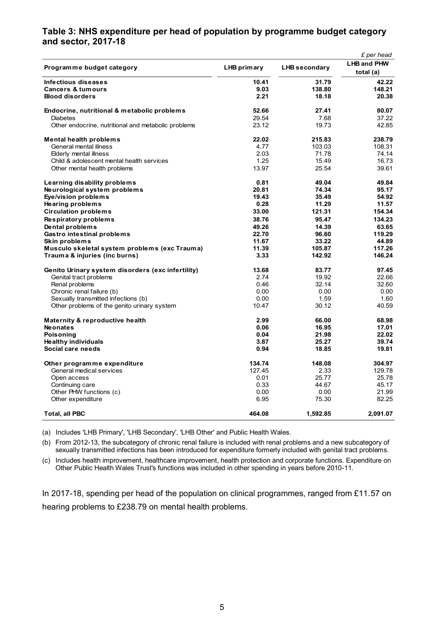#### <span id="page-4-0"></span>**Table 3: NHS expenditure per head of population by programme budget category and sector, 2017-18**

|                                                     |             |               | £ per head                      |
|-----------------------------------------------------|-------------|---------------|---------------------------------|
| Programme budget category                           | LHB primary | LHB secondary | <b>LHB and PHW</b><br>total (a) |
| Infectious diseases                                 | 10.41       | 31.79         | 42.22                           |
| <b>Cancers &amp; tumours</b>                        | 9.03        | 138.80        | 148.21                          |
| <b>Blood disorders</b>                              | 2.21        | 18.18         | 20.38                           |
|                                                     |             |               |                                 |
| Endocrine, nutritional & metabolic problems         | 52.66       | 27.41         | 80.07                           |
| <b>Diabetes</b>                                     | 29.54       | 7.68          | 37.22                           |
| Other endocrine, nutritional and metabolic problems | 23.12       | 19.73         | 42.85                           |
| <b>Mental health problems</b>                       | 22.02       | 215.83        | 238.79                          |
| General mental illness                              | 4.77        | 103.03        | 108.31                          |
| Elderly mental illness                              | 2.03        | 71.78         | 74.14                           |
| Child & adolescent mental health services           | 1.25        | 15.49         | 16.73                           |
| Other mental health problems                        | 13.97       | 25.54         | 39.61                           |
| Learning disability problems                        | 0.81        | 49.04         | 49.84                           |
| Neurological system problems                        | 20.81       | 74.34         | 95.17                           |
| Eye/vision problems                                 | 19.43       | 35.49         | 54.92                           |
| <b>Hearing problems</b>                             | 0.28        | 11.29         | 11.57                           |
| <b>Circulation problems</b>                         | 33.00       | 121.31        | 154.34                          |
| Respiratory problems                                | 38.76       | 95.47         | 134.23                          |
| Dental problems                                     | 49.26       | 14.39         | 63.65                           |
| <b>Gastro intestinal problems</b>                   | 22.70       | 96.60         | 119.29                          |
| Skin problems                                       | 11.67       | 33.22         | 44.89                           |
| Musculo skeletal system problems (exc Trauma)       | 11.39       | 105.87        | 117.26                          |
| Trauma & injuries (inc burns)                       | 3.33        | 142.92        | 146.24                          |
| Genito Urinary system disorders (exc infertility)   | 13.68       | 83.77         | 97.45                           |
| Genital tract problems                              | 2.74        | 19.92         | 22.66                           |
| Renal problems                                      | 0.46        | 32.14         | 32.60                           |
| Chronic renal failure (b)                           | 0.00        | 0.00          | 0.00                            |
| Sexually transmitted infections (b)                 | 0.00        | 1.59          | 1.60                            |
| Other problems of the genito urinary system         | 10.47       | 30.12         | 40.59                           |
| Maternity & reproductive health                     | 2.99        | 66.00         | 68.98                           |
| <b>Neonates</b>                                     | 0.06        | 16.95         | 17.01                           |
| Poisonina                                           | 0.04        | 21.98         | 22.02                           |
| <b>Healthy individuals</b>                          | 3.87        | 25.27         | 39.74                           |
| Social care needs                                   | 0.94        | 18.85         | 19.81                           |
| Other programme expenditure                         | 134.74      | 148.08        | 304.97                          |
| General medical services                            | 127.45      | 2.33          | 129.78                          |
| Open access                                         | 0.01        | 25.77         | 25.78                           |
| Continuing care                                     | 0.33        | 44.67         | 45.17                           |
| Other PHW functions (c)                             | 0.00        | 0.00          | 21.99                           |
| Other expenditure                                   | 6.95        | 75.30         | 82.25                           |
| <b>Total, all PBC</b>                               | 464.08      | 1,592.85      | 2,091.07                        |

(a) Includes 'LHB Primary', 'LHB Secondary', 'LHB Other' and Public Health Wales.

(b) From 2012-13, the subcategory of chronic renal failure is included with renal problems and a new subcategory of sexually transmitted infections has been introduced for expenditure formerly included with genital tract problems.

(c) Includes health improvement, healthcare improvement, health protection and corporate functions. Expenditure on Other Public Health Wales Trust's functions was included in other spending in years before 2010-11.

In 2017-18, spending per head of the population on clinical programmes, ranged from £11.57 on hearing problems to £238.79 on mental health problems.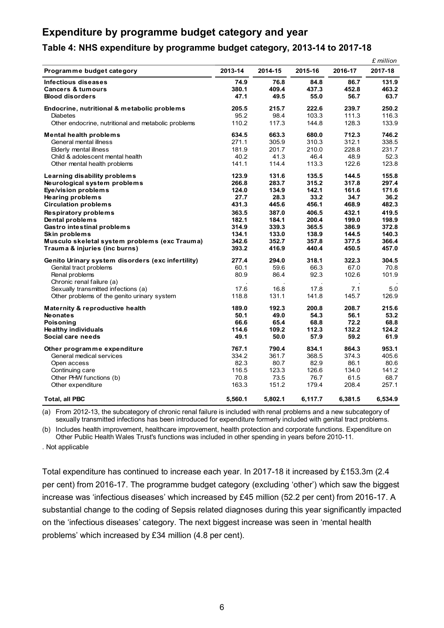## <span id="page-5-0"></span>**Expenditure by programme budget category and year**

#### **Table 4: NHS expenditure by programme budget category, 2013-14 to 2017-18**

|                                                                                |                       |                       |                       |                       | £ million              |
|--------------------------------------------------------------------------------|-----------------------|-----------------------|-----------------------|-----------------------|------------------------|
| Programme budget category                                                      | 2013-14               | 2014-15               | 2015-16               | 2016-17               | 2017-18                |
| Infectious diseases<br><b>Cancers &amp; tumours</b><br><b>Blood disorders</b>  | 74.9<br>380.1<br>47.1 | 76.8<br>409.4<br>49.5 | 84.8<br>437.3<br>55.0 | 86.7<br>452.8<br>56.7 | 131.9<br>463.2<br>63.7 |
| Endocrine, nutritional & metabolic problems                                    | 205.5                 | 215.7                 | 222.6                 | 239.7                 | 250.2                  |
| Diabetes                                                                       | 95.2                  | 98.4                  | 103.3                 | 111.3                 | 116.3                  |
| Other endocrine, nutritional and metabolic problems                            | 110.2                 | 117.3                 | 144.8                 | 128.3                 | 133.9                  |
| <b>Mental health problems</b>                                                  | 634.5                 | 663.3                 | 680.0                 | 712.3                 | 746.2                  |
| General mental illness                                                         | 271.1                 | 305.9                 | 310.3                 | 312.1                 | 338.5                  |
| <b>Elderly mental illness</b>                                                  | 181.9                 | 201.7                 | 210.0                 | 228.8                 | 231.7                  |
| Child & adolescent mental health                                               | 40.2                  | 41.3                  | 46.4                  | 48.9                  | 52.3                   |
| Other mental health problems                                                   | 141.1                 | 114.4                 | 113.3                 | 122.6                 | 123.8                  |
| Learning disability problems                                                   | 123.9                 | 131.6                 | 135.5                 | 144.5                 | 155.8                  |
| Neurological system problems                                                   | 266.8                 | 283.7                 | 315.2                 | 317.8                 | 297.4                  |
| Eye/vision problems                                                            | 124.0                 | 134.9                 | 142.1                 | 161.6                 | 171.6                  |
| Hearing problems                                                               | 27.7                  | 28.3                  | 33.2                  | 34.7                  | 36.2                   |
| <b>Circulation problems</b>                                                    | 431.3                 | 445.6                 | 456.1                 | 468.9                 | 482.3                  |
| Respiratory problems                                                           | 363.5                 | 387.0                 | 406.5                 | 432.1                 | 419.5                  |
| Dental problems                                                                | 182.1                 | 184.1                 | 200.4                 | 199.0                 | 198.9                  |
| Gastro intestinal problems                                                     | 314.9                 | 339.3                 | 365.5                 | 386.9                 | 372.8                  |
| Skin problems                                                                  | 134.1<br>342.6        | 133.0<br>352.7        | 138.9<br>357.8        | 144.5<br>377.5        | 140.3<br>366.4         |
| Musculo skeletal system problems (exc Trauma)<br>Trauma & injuries (inc burns) | 393.2                 | 416.9                 | 440.4                 | 450.5                 | 457.0                  |
| Genito Urinary system disorders (exc infertility)                              | 277.4                 | 294.0                 | 318.1                 | 322.3                 | 304.5                  |
| Genital tract problems                                                         | 60.1                  | 59.6                  | 66.3                  | 67.0                  | 70.8                   |
| Renal problems                                                                 | 80.9                  | 86.4                  | 92.3                  | 102.6                 | 101.9                  |
| Chronic renal failure (a)                                                      |                       |                       |                       |                       |                        |
| Sexually transmitted infections (a)                                            | 17.6                  | 16.8                  | 17.8                  | 7.1                   | 5.0                    |
| Other problems of the genito urinary system                                    | 118.8                 | 131.1                 | 141.8                 | 145.7                 | 126.9                  |
| Maternity & reproductive health                                                | 189.0                 | 192.3                 | 200.8                 | 208.7                 | 215.6                  |
| <b>Neonates</b>                                                                | 50.1                  | 49.0                  | 54.3                  | 56.1                  | 53.2                   |
| Poisoning                                                                      | 66.6                  | 65.4                  | 68.8                  | 72.2                  | 68.8                   |
| Healthy individuals                                                            | 114.6                 | 109.2                 | 112.3                 | 132.2                 | 124.2                  |
| Social care needs                                                              | 49.1                  | 50.0                  | 57.9                  | 59.2                  | 61.9                   |
| Other programme expenditure                                                    | 767.1                 | 790.4                 | 834.1                 | 864.3                 | 953.1                  |
| General medical services                                                       | 334.2                 | 361.7                 | 368.5                 | 374.3                 | 405.6                  |
| Open access                                                                    | 82.3                  | 80.7                  | 82.9                  | 86.1                  | 80.6                   |
| Continuing care                                                                | 116.5                 | 123.3                 | 126.6                 | 134.0                 | 141.2                  |
| Other PHW functions (b)                                                        | 70.8                  | 73.5                  | 76.7                  | 61.5                  | 68.7                   |
| Other expenditure                                                              | 163.3                 | 151.2                 | 179.4                 | 208.4                 | 257.1                  |
| <b>Total, all PBC</b>                                                          | 5,560.1               | 5,802.1               | 6,117.7               | 6,381.5               | 6,534.9                |

(a) From 2012-13, the subcategory of chronic renal failure is included with renal problems and a new subcategory of sexually transmitted infections has been introduced for expenditure formerly included with genital tract problems.

(b) Includes health improvement, healthcare improvement, health protection and corporate functions. Expenditure on Other Public Health Wales Trust's functions was included in other spending in years before 2010-11.

. Not applicable

Total expenditure has continued to increase each year. In 2017-18 it increased by £153.3m (2.4 per cent) from 2016-17. The programme budget category (excluding 'other') which saw the biggest increase was 'infectious diseases' which increased by £45 million (52.2 per cent) from 2016-17. A substantial change to the coding of Sepsis related diagnoses during this year significantly impacted on the 'infectious diseases' category. The next biggest increase was seen in 'mental health problems' which increased by £34 million (4.8 per cent).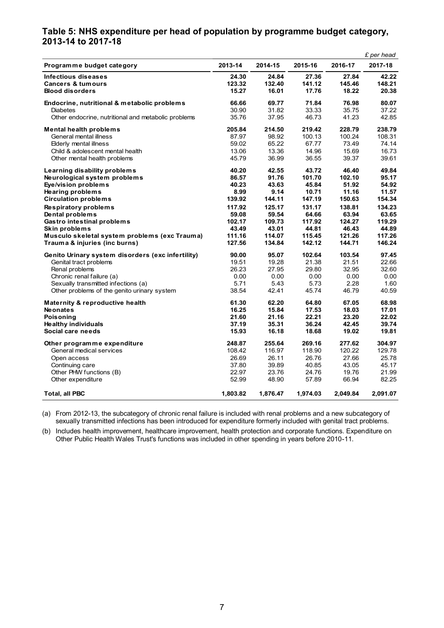#### **Table 5: NHS expenditure per head of population by programme budget category, 2013-14 to 2017-18**

|                                                     |          |          |          |          | £ per head |
|-----------------------------------------------------|----------|----------|----------|----------|------------|
| Programme budget category                           | 2013-14  | 2014-15  | 2015-16  | 2016-17  | 2017-18    |
| <b>Infectious diseases</b>                          | 24.30    | 24.84    | 27.36    | 27.84    | 42.22      |
| <b>Cancers &amp; tumours</b>                        | 123.32   | 132.40   | 141.12   | 145.46   | 148.21     |
| <b>Blood disorders</b>                              | 15.27    | 16.01    | 17.76    | 18.22    | 20.38      |
| Endocrine, nutritional & metabolic problems         | 66.66    | 69.77    | 71.84    | 76.98    | 80.07      |
| <b>Diabetes</b>                                     | 30.90    | 31.82    | 33.33    | 35.75    | 37.22      |
| Other endocrine, nutritional and metabolic problems | 35.76    | 37.95    | 46.73    | 41.23    | 42.85      |
| <b>Mental health problems</b>                       | 205.84   | 214.50   | 219.42   | 228.79   | 238.79     |
| General mental illness                              | 87.97    | 98.92    | 100.13   | 100.24   | 108.31     |
| <b>Elderly mental illness</b>                       | 59.02    | 65.22    | 67.77    | 73.49    | 74.14      |
| Child & adolescent mental health                    | 13.06    | 13.36    | 14.96    | 15.69    | 16.73      |
| Other mental health problems                        | 45.79    | 36.99    | 36.55    | 39.37    | 39.61      |
| Learning disability problems                        | 40.20    | 42.55    | 43.72    | 46.40    | 49.84      |
| Neurological system problems                        | 86.57    | 91.76    | 101.70   | 102.10   | 95.17      |
| Eye/vision problems                                 | 40.23    | 43.63    | 45.84    | 51.92    | 54.92      |
| <b>Hearing problems</b>                             | 8.99     | 9.14     | 10.71    | 11.16    | 11.57      |
| <b>Circulation problems</b>                         | 139.92   | 144.11   | 147.19   | 150.63   | 154.34     |
| Respiratory problems                                | 117.92   | 125.17   | 131.17   | 138.81   | 134.23     |
| Dental problems                                     | 59.08    | 59.54    | 64.66    | 63.94    | 63.65      |
| <b>Gastro intestinal problems</b>                   | 102.17   | 109.73   | 117.92   | 124.27   | 119.29     |
| Skin problems                                       | 43.49    | 43.01    | 44.81    | 46.43    | 44.89      |
| Musculo skeletal system problems (exc Trauma)       | 111.16   | 114.07   | 115.45   | 121.26   | 117.26     |
| Trauma & injuries (inc burns)                       | 127.56   | 134.84   | 142.12   | 144.71   | 146.24     |
| Genito Urinary system disorders (exc infertility)   | 90.00    | 95.07    | 102.64   | 103.54   | 97.45      |
| Genital tract problems                              | 19.51    | 19.28    | 21.38    | 21.51    | 22.66      |
| Renal problems                                      | 26.23    | 27.95    | 29.80    | 32.95    | 32.60      |
| Chronic renal failure (a)                           | 0.00     | 0.00     | 0.00     | 0.00     | 0.00       |
| Sexually transmitted infections (a)                 | 5.71     | 5.43     | 5.73     | 2.28     | 1.60       |
| Other problems of the genito urinary system         | 38.54    | 42.41    | 45.74    | 46.79    | 40.59      |
| <b>Maternity &amp; reproductive health</b>          | 61.30    | 62.20    | 64.80    | 67.05    | 68.98      |
| <b>Neonates</b>                                     | 16.25    | 15.84    | 17.53    | 18.03    | 17.01      |
| Poisoning                                           | 21.60    | 21.16    | 22.21    | 23.20    | 22.02      |
| <b>Healthy individuals</b>                          | 37.19    | 35.31    | 36.24    | 42.45    | 39.74      |
| Social care needs                                   | 15.93    | 16.18    | 18.68    | 19.02    | 19.81      |
| Other programme expenditure                         | 248.87   | 255.64   | 269.16   | 277.62   | 304.97     |
| General medical services                            | 108.42   | 116.97   | 118.90   | 120.22   | 129.78     |
| Open access                                         | 26.69    | 26.11    | 26.76    | 27.66    | 25.78      |
| Continuing care                                     | 37.80    | 39.89    | 40.85    | 43.05    | 45.17      |
| Other PHW functions (B)                             | 22.97    | 23.76    | 24.76    | 19.76    | 21.99      |
| Other expenditure                                   | 52.99    | 48.90    | 57.89    | 66.94    | 82.25      |
| <b>Total, all PBC</b>                               | 1,803.82 | 1,876.47 | 1,974.03 | 2,049.84 | 2,091.07   |

(a) From 2012-13, the subcategory of chronic renal failure is included with renal problems and a new subcategory of sexually transmitted infections has been introduced for expenditure formerly included with genital tract problems.

(b) Includes health improvement, healthcare improvement, health protection and corporate functions. Expenditure on Other Public Health Wales Trust's functions was included in other spending in years before 2010-11.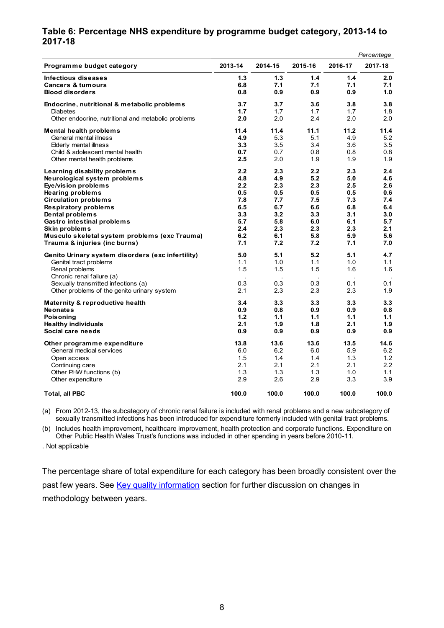#### **Table 6: Percentage NHS expenditure by programme budget category, 2013-14 to 2017-18**

|                                                     |                      |         |         |         | Percentage |
|-----------------------------------------------------|----------------------|---------|---------|---------|------------|
| Programme budget category                           | 2013-14              | 2014-15 | 2015-16 | 2016-17 | 2017-18    |
| Infectious diseases                                 | 1.3                  | 1.3     | 1.4     | 1.4     | 2.0        |
| <b>Cancers &amp; tumours</b>                        | 6.8                  | 7.1     | 7.1     | 7.1     | 7.1        |
| <b>Blood disorders</b>                              | 0.8                  | 0.9     | 0.9     | 0.9     | 1.0        |
| Endocrine, nutritional & metabolic problems         | 3.7                  | 3.7     | 3.6     | 3.8     | 3.8        |
| Diabetes                                            | 1.7                  | 1.7     | 1.7     | 1.7     | 1.8        |
| Other endocrine, nutritional and metabolic problems | 2.0                  | 2.0     | 2.4     | 2.0     | 2.0        |
| <b>Mental health problems</b>                       | 11.4                 | 11.4    | 11.1    | 11.2    | 11.4       |
| General mental illness                              | 4.9                  | 5.3     | 5.1     | 4.9     | 5.2        |
| Elderly mental illness                              | 3.3                  | 3.5     | 3.4     | 3.6     | 3.5        |
| Child & adolescent mental health                    | 0.7                  | 0.7     | 0.8     | 0.8     | 0.8        |
| Other mental health problems                        | 2.5                  | 2.0     | 1.9     | 1.9     | 1.9        |
| Learning disability problems                        | 2.2                  | 2.3     | 2.2     | 2.3     | 2.4        |
| Neurological system problems                        | 4.8                  | 4.9     | 5.2     | 5.0     | 4.6        |
| Eye/vision problems                                 | 2.2                  | 2.3     | 2.3     | 2.5     | 2.6        |
| Hearing problems                                    | 0.5                  | 0.5     | 0.5     | 0.5     | 0.6        |
| <b>Circulation problems</b>                         | 7.8                  | 7.7     | 7.5     | 7.3     | 7.4        |
| Respiratory problems                                | 6.5                  | 6.7     | 6.6     | 6.8     | 6.4        |
| Dental problems                                     | 3.3                  | 3.2     | 3.3     | 3.1     | 3.0        |
| Gastro intestinal problems                          | 5.7                  | 5.8     | 6.0     | 6.1     | 5.7        |
| Skin problems                                       | 2.4                  | 2.3     | 2.3     | 2.3     | 2.1        |
| Musculo skeletal system problems (exc Trauma)       | 6.2                  | 6.1     | 5.8     | 5.9     | 5.6        |
| Trauma & injuries (inc burns)                       | 7.1                  | 7.2     | 7.2     | 7.1     | 7.0        |
| Genito Urinary system disorders (exc infertility)   | 5.0                  | 5.1     | 5.2     | 5.1     | 4.7        |
| Genital tract problems                              | 1.1                  | 1.0     | 1.1     | 1.0     | 1.1        |
| Renal problems                                      | 1.5                  | 1.5     | 1.5     | 1.6     | 1.6        |
| Chronic renal failure (a)                           | $\ddot{\phantom{a}}$ |         |         |         |            |
| Sexually transmitted infections (a)                 | 0.3                  | 0.3     | 0.3     | 0.1     | 0.1        |
| Other problems of the genito urinary system         | 2.1                  | 2.3     | 2.3     | 2.3     | 1.9        |
| Maternity & reproductive health                     | 3.4                  | 3.3     | 3.3     | 3.3     | 3.3        |
| <b>Neonates</b>                                     | 0.9                  | 0.8     | 0.9     | 0.9     | 0.8        |
| Poisoning                                           | 1.2                  | 1.1     | 1.1     | 1.1     | 1.1        |
| Healthy individuals                                 | 2.1                  | 1.9     | 1.8     | 2.1     | 1.9        |
| Social care needs                                   | 0.9                  | 0.9     | 0.9     | 0.9     | 0.9        |
| Other programme expenditure                         | 13.8                 | 13.6    | 13.6    | 13.5    | 14.6       |
| General medical services                            | 6.0                  | 6.2     | 6.0     | 5.9     | 6.2        |
| Open access                                         | 1.5                  | 1.4     | 1.4     | 1.3     | 1.2        |
| Continuing care                                     | 2.1                  | 2.1     | 2.1     | 2.1     | 2.2        |
| Other PHW functions (b)                             | 1.3                  | 1.3     | 1.3     | 1.0     | 1.1        |
| Other expenditure                                   | 2.9                  | 2.6     | 2.9     | 3.3     | 3.9        |
| <b>Total, all PBC</b>                               | 100.0                | 100.0   | 100.0   | 100.0   | 100.0      |

(a) From 2012-13, the subcategory of chronic renal failure is included with renal problems and a new subcategory of sexually transmitted infections has been introduced for expenditure formerly included with genital tract problems.

(b) Includes health improvement, healthcare improvement, health protection and corporate functions. Expenditure on Other Public Health Wales Trust's functions was included in other spending in years before 2010-11.

. Not applicable

The percentage share of total expenditure for each category has been broadly consistent over the past few years. See [Key quality information](#page-8-0) section for further discussion on changes in methodology between years.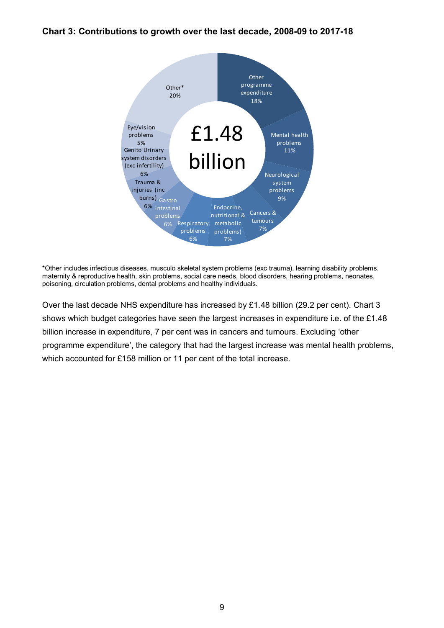#### **Chart 3: Contributions to growth over the last decade, 2008-09 to 2017-18**



\*Other includes infectious diseases, musculo skeletal system problems (exc trauma), learning disability problems, maternity & reproductive health, skin problems, social care needs, blood disorders, hearing problems, neonates, poisoning, circulation problems, dental problems and healthy individuals.

<span id="page-8-0"></span>Over the last decade NHS expenditure has increased by £1.48 billion (29.2 per cent). Chart 3 shows which budget categories have seen the largest increases in expenditure i.e. of the £1.48 billion increase in expenditure, 7 per cent was in cancers and tumours. Excluding 'other programme expenditure', the category that had the largest increase was mental health problems, which accounted for £158 million or 11 per cent of the total increase.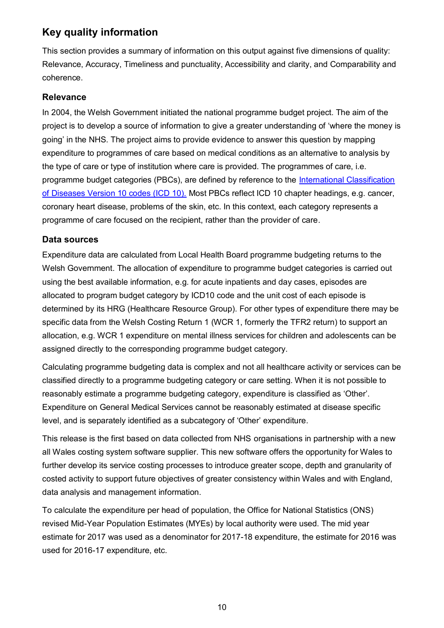## **Key quality information**

This section provides a summary of information on this output against five dimensions of quality: Relevance, Accuracy, Timeliness and punctuality, Accessibility and clarity, and Comparability and coherence.

### **Relevance**

In 2004, the Welsh Government initiated the national programme budget project. The aim of the project is to develop a source of information to give a greater understanding of 'where the money is going' in the NHS. The project aims to provide evidence to answer this question by mapping expenditure to programmes of care based on medical conditions as an alternative to analysis by the type of care or type of institution where care is provided. The programmes of care, i.e. programme budget categories (PBCs), are defined by reference to the [International Classification](http://www.who.int/classifications/icd/)  [of Diseases Version 10 codes \(ICD 10\).](http://www.who.int/classifications/icd/) Most PBCs reflect ICD 10 chapter headings, e.g. cancer, coronary heart disease, problems of the skin, etc. In this context, each category represents a programme of care focused on the recipient, rather than the provider of care.

#### **Data sources**

Expenditure data are calculated from Local Health Board programme budgeting returns to the Welsh Government. The allocation of expenditure to programme budget categories is carried out using the best available information, e.g. for acute inpatients and day cases, episodes are allocated to program budget category by ICD10 code and the unit cost of each episode is determined by its HRG (Healthcare Resource Group). For other types of expenditure there may be specific data from the Welsh Costing Return 1 (WCR 1, formerly the TFR2 return) to support an allocation, e.g. WCR 1 expenditure on mental illness services for children and adolescents can be assigned directly to the corresponding programme budget category.

Calculating programme budgeting data is complex and not all healthcare activity or services can be classified directly to a programme budgeting category or care setting. When it is not possible to reasonably estimate a programme budgeting category, expenditure is classified as 'Other'. Expenditure on General Medical Services cannot be reasonably estimated at disease specific level, and is separately identified as a subcategory of 'Other' expenditure.

This release is the first based on data collected from NHS organisations in partnership with a new all Wales costing system software supplier. This new software offers the opportunity for Wales to further develop its service costing processes to introduce greater scope, depth and granularity of costed activity to support future objectives of greater consistency within Wales and with England, data analysis and management information.

To calculate the expenditure per head of population, the Office for National Statistics (ONS) revised Mid-Year Population Estimates (MYEs) by local authority were used. The mid year estimate for 2017 was used as a denominator for 2017-18 expenditure, the estimate for 2016 was used for 2016-17 expenditure, etc.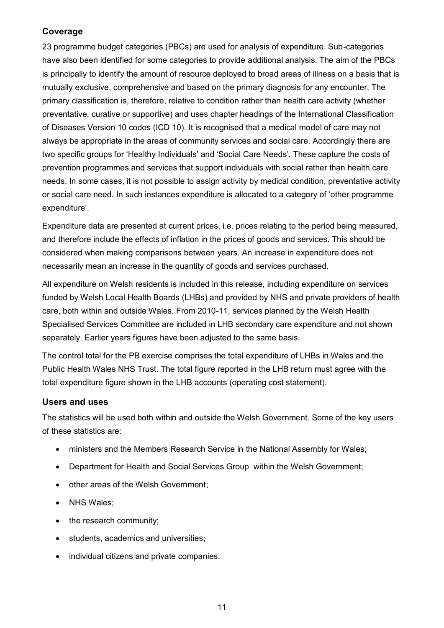### **Coverage**

23 programme budget categories (PBCs) are used for analysis of expenditure. Sub-categories have also been identified for some categories to provide additional analysis. The aim of the PBCs is principally to identify the amount of resource deployed to broad areas of illness on a basis that is mutually exclusive, comprehensive and based on the primary diagnosis for any encounter. The primary classification is, therefore, relative to condition rather than health care activity (whether preventative, curative or supportive) and uses chapter headings of the International Classification of Diseases Version 10 codes (ICD 10). It is recognised that a medical model of care may not always be appropriate in the areas of community services and social care. Accordingly there are two specific groups for 'Healthy Individuals' and 'Social Care Needs'. These capture the costs of prevention programmes and services that support individuals with social rather than health care needs. In some cases, it is not possible to assign activity by medical condition, preventative activity or social care need. In such instances expenditure is allocated to a category of 'other programme expenditure'.

Expenditure data are presented at current prices, i.e. prices relating to the period being measured, and therefore include the effects of inflation in the prices of goods and services. This should be considered when making comparisons between years. An increase in expenditure does not necessarily mean an increase in the quantity of goods and services purchased.

All expenditure on Welsh residents is included in this release, including expenditure on services funded by Welsh Local Health Boards (LHBs) and provided by NHS and private providers of health care, both within and outside Wales. From 2010-11, services planned by the Welsh Health Specialised Services Committee are included in LHB secondary care expenditure and not shown separately. Earlier years figures have been adjusted to the same basis.

The control total for the PB exercise comprises the total expenditure of LHBs in Wales and the Public Health Wales NHS Trust. The total figure reported in the LHB return must agree with the total expenditure figure shown in the LHB accounts (operating cost statement).

#### **Users and uses**

The statistics will be used both within and outside the Welsh Government. Some of the key users of these statistics are:

- ministers and the Members Research Service in the National Assembly for Wales;
- Department for Health and Social Services Group within the Welsh Government;
- other areas of the Welsh Government;
- NHS Wales;
- the research community;
- students, academics and universities;
- individual citizens and private companies.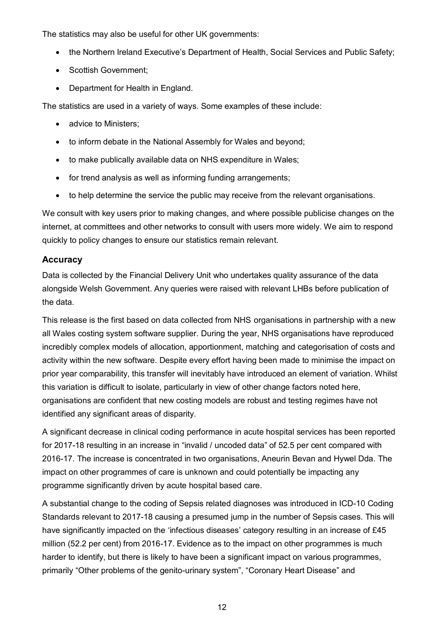The statistics may also be useful for other UK governments:

- the Northern Ireland Executive's Department of Health, Social Services and Public Safety;
- Scottish Government;
- Department for Health in England.

The statistics are used in a variety of ways. Some examples of these include:

- advice to Ministers:
- to inform debate in the National Assembly for Wales and beyond;
- to make publically available data on NHS expenditure in Wales;
- for trend analysis as well as informing funding arrangements;
- to help determine the service the public may receive from the relevant organisations.

We consult with key users prior to making changes, and where possible publicise changes on the internet, at committees and other networks to consult with users more widely. We aim to respond quickly to policy changes to ensure our statistics remain relevant.

#### **Accuracy**

Data is collected by the Financial Delivery Unit who undertakes quality assurance of the data alongside Welsh Government. Any queries were raised with relevant LHBs before publication of the data.

This release is the first based on data collected from NHS organisations in partnership with a new all Wales costing system software supplier. During the year, NHS organisations have reproduced incredibly complex models of allocation, apportionment, matching and categorisation of costs and activity within the new software. Despite every effort having been made to minimise the impact on prior year comparability, this transfer will inevitably have introduced an element of variation. Whilst this variation is difficult to isolate, particularly in view of other change factors noted here, organisations are confident that new costing models are robust and testing regimes have not identified any significant areas of disparity.

A significant decrease in clinical coding performance in acute hospital services has been reported for 2017-18 resulting in an increase in "invalid / uncoded data" of 52.5 per cent compared with 2016-17. The increase is concentrated in two organisations, Aneurin Bevan and Hywel Dda. The impact on other programmes of care is unknown and could potentially be impacting any programme significantly driven by acute hospital based care.

A substantial change to the coding of Sepsis related diagnoses was introduced in ICD-10 Coding Standards relevant to 2017-18 causing a presumed jump in the number of Sepsis cases. This will have significantly impacted on the 'infectious diseases' category resulting in an increase of £45 million (52.2 per cent) from 2016-17. Evidence as to the impact on other programmes is much harder to identify, but there is likely to have been a significant impact on various programmes, primarily "Other problems of the genito-urinary system", "Coronary Heart Disease" and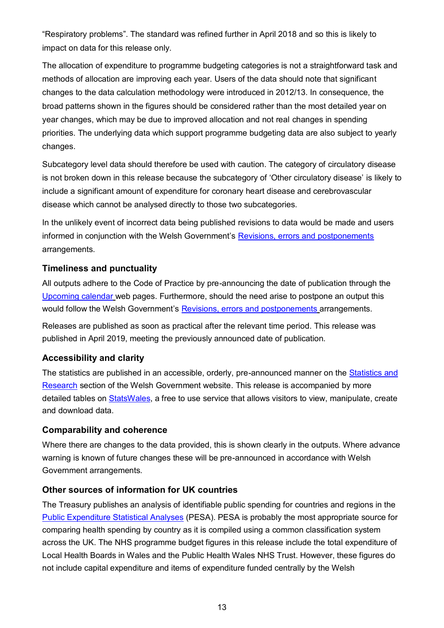"Respiratory problems". The standard was refined further in April 2018 and so this is likely to impact on data for this release only.

The allocation of expenditure to programme budgeting categories is not a straightforward task and methods of allocation are improving each year. Users of the data should note that significant changes to the data calculation methodology were introduced in 2012/13. In consequence, the broad patterns shown in the figures should be considered rather than the most detailed year on year changes, which may be due to improved allocation and not real changes in spending priorities. The underlying data which support programme budgeting data are also subject to yearly changes.

Subcategory level data should therefore be used with caution. The category of circulatory disease is not broken down in this release because the subcategory of 'Other circulatory disease' is likely to include a significant amount of expenditure for coronary heart disease and cerebrovascular disease which cannot be analysed directly to those two subcategories.

In the unlikely event of incorrect data being published revisions to data would be made and users informed in conjunction with the Welsh Government's [Revisions, errors and postponements](https://gov.wales/statistics-and-research-statement-revisions-errors-and-postponements) arrangements.

## **Timeliness and punctuality**

All outputs adhere to the Code of Practice by pre-announcing the date of publication through the [Upcoming calendar](https://gov.wales/statistics-and-research/upcoming) web pages. Furthermore, should the need arise to postpone an output this would follow the Welsh Government's [Revisions, errors and postponements](https://gov.wales/statistics-and-research-statement-revisions-errors-and-postponements) arrangements.

Releases are published as soon as practical after the relevant time period. This release was published in April 2019, meeting the previously announced date of publication.

## **Accessibility and clarity**

The statistics are published in an accessible, orderly, pre-announced manner on the [Statistics and](https://gov.wales/statistics-and-research)  [Research](https://gov.wales/statistics-and-research) section of the Welsh Government website. This release is accompanied by more detailed tables on [StatsWales,](https://statswales.gov.wales/Catalogue/Health-and-Social-Care/Health-Finance/NHS-Programme-Budget) a free to use service that allows visitors to view, manipulate, create and download data.

## **Comparability and coherence**

Where there are changes to the data provided, this is shown clearly in the outputs. Where advance warning is known of future changes these will be pre-announced in accordance with Welsh Government arrangements.

## **Other sources of information for UK countries**

The Treasury publishes an analysis of identifiable public spending for countries and regions in the [Public Expenditure Statistical Analyses](https://www.gov.uk/government/collections/public-expenditure-statistical-analyses-pesa) (PESA). PESA is probably the most appropriate source for comparing health spending by country as it is compiled using a common classification system across the UK. The NHS programme budget figures in this release include the total expenditure of Local Health Boards in Wales and the Public Health Wales NHS Trust. However, these figures do not include capital expenditure and items of expenditure funded centrally by the Welsh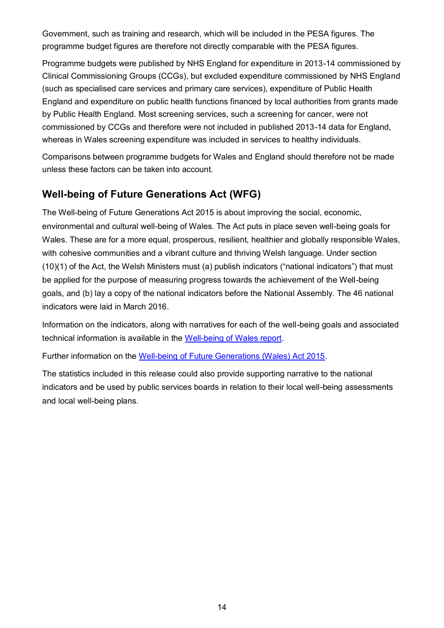Government, such as training and research, which will be included in the PESA figures. The programme budget figures are therefore not directly comparable with the PESA figures.

Programme budgets were published by NHS England for expenditure in 2013-14 commissioned by Clinical Commissioning Groups (CCGs), but excluded expenditure commissioned by NHS England (such as specialised care services and primary care services), expenditure of Public Health England and expenditure on public health functions financed by local authorities from grants made by Public Health England. Most screening services, such a screening for cancer, were not commissioned by CCGs and therefore were not included in published 2013-14 data for England, whereas in Wales screening expenditure was included in services to healthy individuals.

Comparisons between programme budgets for Wales and England should therefore not be made unless these factors can be taken into account.

## **Well-being of Future Generations Act (WFG)**

The Well-being of Future Generations Act 2015 is about improving the social, economic, environmental and cultural well-being of Wales. The Act puts in place seven well-being goals for Wales. These are for a more equal, prosperous, resilient, healthier and globally responsible Wales, with cohesive communities and a vibrant culture and thriving Welsh language. Under section (10)(1) of the Act, the Welsh Ministers must (a) publish indicators ("national indicators") that must be applied for the purpose of measuring progress towards the achievement of the Well-being goals, and (b) lay a copy of the national indicators before the National Assembly. The 46 national indicators were laid in March 2016.

Information on the indicators, along with narratives for each of the well-being goals and associated technical information is available in the [Well-being of Wales report.](https://gov.wales/well-being-wales)

Further information on the [Well-being of Future Generations \(Wales\) Act 2015.](http://gov.wales/topics/people-and-communities/people/future-generations-act)

The statistics included in this release could also provide supporting narrative to the national indicators and be used by public services boards in relation to their local well-being assessments and local well-being plans.